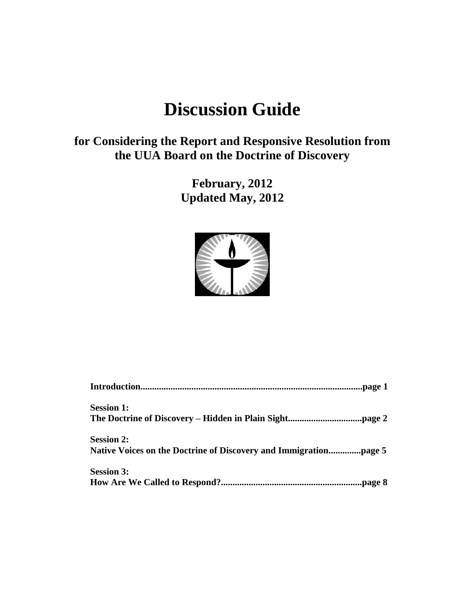# **Discussion Guide**

## **for Considering the Report and Responsive Resolution from the UUA Board on the Doctrine of Discovery**

**February, 2012 Updated May, 2012**



| <b>Session 1:</b> |
|-------------------|
|                   |
| <b>Session 2:</b> |
|                   |
| <b>Session 3:</b> |
|                   |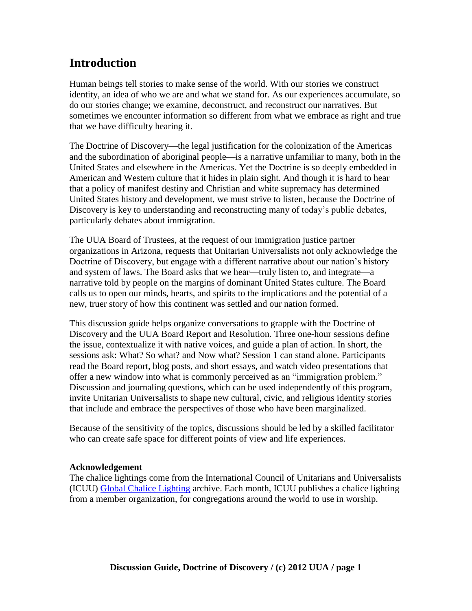# **Introduction**

Human beings tell stories to make sense of the world. With our stories we construct identity, an idea of who we are and what we stand for. As our experiences accumulate, so do our stories change; we examine, deconstruct, and reconstruct our narratives. But sometimes we encounter information so different from what we embrace as right and true that we have difficulty hearing it.

The Doctrine of Discovery—the legal justification for the colonization of the Americas and the subordination of aboriginal people—is a narrative unfamiliar to many, both in the United States and elsewhere in the Americas. Yet the Doctrine is so deeply embedded in American and Western culture that it hides in plain sight. And though it is hard to hear that a policy of manifest destiny and Christian and white supremacy has determined United States history and development, we must strive to listen, because the Doctrine of Discovery is key to understanding and reconstructing many of today's public debates, particularly debates about immigration.

The UUA Board of Trustees, at the request of our immigration justice partner organizations in Arizona, requests that Unitarian Universalists not only acknowledge the Doctrine of Discovery, but engage with a different narrative about our nation's history and system of laws. The Board asks that we hear—truly listen to, and integrate—a narrative told by people on the margins of dominant United States culture. The Board calls us to open our minds, hearts, and spirits to the implications and the potential of a new, truer story of how this continent was settled and our nation formed.

This discussion guide helps organize conversations to grapple with the Doctrine of Discovery and the UUA Board Report and Resolution. Three one-hour sessions define the issue, contextualize it with native voices, and guide a plan of action. In short, the sessions ask: What? So what? and Now what? Session 1 can stand alone. Participants read the Board report, blog posts, and short essays, and watch video presentations that offer a new window into what is commonly perceived as an "immigration problem." Discussion and journaling questions, which can be used independently of this program, invite Unitarian Universalists to shape new cultural, civic, and religious identity stories that include and embrace the perspectives of those who have been marginalized.

Because of the sensitivity of the topics, discussions should be led by a skilled facilitator who can create safe space for different points of view and life experiences.

#### **Acknowledgement**

The chalice lightings come from the International Council of Unitarians and Universalists (ICUU) [Global Chalice Lighting](http://www.icuu.net/) archive. Each month, ICUU publishes a chalice lighting from a member organization, for congregations around the world to use in worship.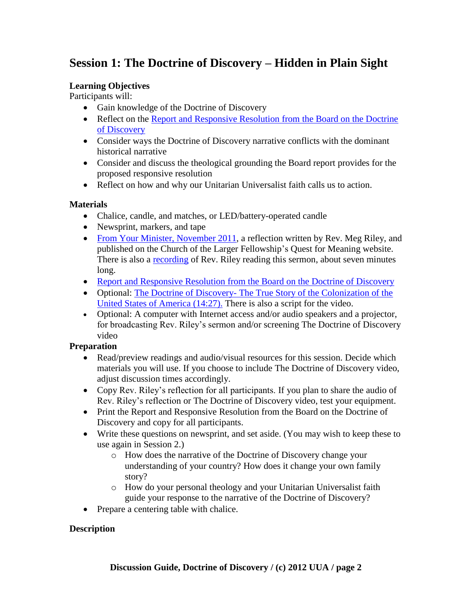## **Session 1: The Doctrine of Discovery – Hidden in Plain Sight**

#### **Learning Objectives**

Participants will:

- Gain knowledge of the Doctrine of Discovery
- Reflect on the Report and Responsive Resolution from the Board on the Doctrine [of Discovery](http://www.uua.org/documents/boardtrustees/rrmc/120109_motion.pdf)
- Consider ways the Doctrine of Discovery narrative conflicts with the dominant historical narrative
- Consider and discuss the theological grounding the Board report provides for the proposed responsive resolution
- Reflect on how and why our Unitarian Universalist faith calls us to action.

#### **Materials**

- Chalice, candle, and matches, or LED/battery-operated candle
- Newsprint, markers, and tape
- [From Your Minister, November 2011,](http://www.questformeaning.org/page/reflecting/from-your-minister) a reflection written by Rev. Meg Riley, and published on the Church of the Larger Fellowship's Quest for Meaning website. There is also a [recording](http://uucyf.org/clfuunet/podcasts/11_11/From.mp3) of Rev. Riley reading this sermon, about seven minutes long.
- [Report and Responsive Resolution from the Board on the Doctrine of Discovery](http://www.uua.org/documents/boardtrustees/rrmc/120109_motion.pdf)
- Optional: The Doctrine of Discovery- The True Story of the Colonization of the [United States of America \(14:27\).](http://www.uua.org/ga/2012/199814.shtml) There is also a script for the video.
- Optional: A computer with Internet access and/or audio speakers and a projector, for broadcasting Rev. Riley's sermon and/or screening The Doctrine of Discovery video

#### **Preparation**

- Read/preview readings and audio/visual resources for this session. Decide which materials you will use. If you choose to include The Doctrine of Discovery video, adjust discussion times accordingly.
- Copy Rev. Riley's reflection for all participants. If you plan to share the audio of Rev. Riley's reflection or The Doctrine of Discovery video, test your equipment.
- Print the Report and Responsive Resolution from the Board on the Doctrine of Discovery and copy for all participants.
- Write these questions on newsprint, and set aside. (You may wish to keep these to use again in Session 2.)
	- o How does the narrative of the Doctrine of Discovery change your understanding of your country? How does it change your own family story?
	- o How do your personal theology and your Unitarian Universalist faith guide your response to the narrative of the Doctrine of Discovery?
- Prepare a centering table with chalice.

#### **Description**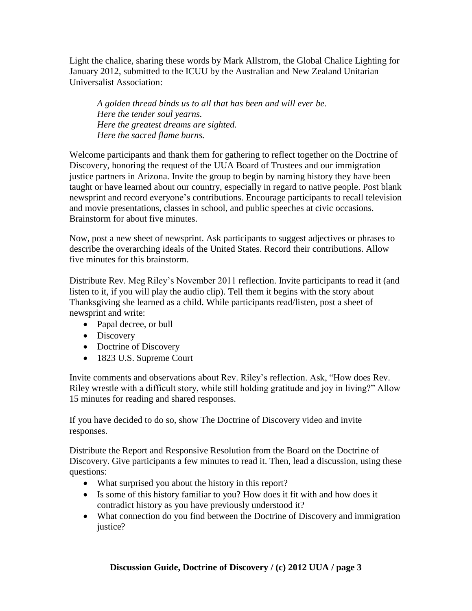Light the chalice, sharing these words by Mark Allstrom, the Global Chalice Lighting for January 2012, submitted to the ICUU by the Australian and New Zealand Unitarian Universalist Association:

*A golden thread binds us to all that has been and will ever be. Here the tender soul yearns. Here the greatest dreams are sighted. Here the sacred flame burns.*

Welcome participants and thank them for gathering to reflect together on the Doctrine of Discovery, honoring the request of the UUA Board of Trustees and our immigration justice partners in Arizona. Invite the group to begin by naming history they have been taught or have learned about our country, especially in regard to native people. Post blank newsprint and record everyone's contributions. Encourage participants to recall television and movie presentations, classes in school, and public speeches at civic occasions. Brainstorm for about five minutes.

Now, post a new sheet of newsprint. Ask participants to suggest adjectives or phrases to describe the overarching ideals of the United States. Record their contributions. Allow five minutes for this brainstorm.

Distribute Rev. Meg Riley's November 2011 reflection. Invite participants to read it (and listen to it, if you will play the audio clip). Tell them it begins with the story about Thanksgiving she learned as a child. While participants read/listen, post a sheet of newsprint and write:

- Papal decree, or bull
- Discovery
- Doctrine of Discovery
- 1823 U.S. Supreme Court

Invite comments and observations about Rev. Riley's reflection. Ask, "How does Rev. Riley wrestle with a difficult story, while still holding gratitude and joy in living?" Allow 15 minutes for reading and shared responses.

If you have decided to do so, show The Doctrine of Discovery video and invite responses.

Distribute the Report and Responsive Resolution from the Board on the Doctrine of Discovery. Give participants a few minutes to read it. Then, lead a discussion, using these questions:

- What surprised you about the history in this report?
- Is some of this history familiar to you? How does it fit with and how does it contradict history as you have previously understood it?
- What connection do you find between the Doctrine of Discovery and immigration justice?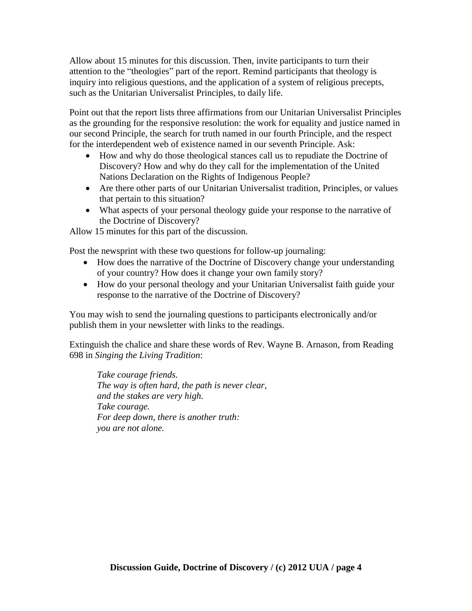Allow about 15 minutes for this discussion. Then, invite participants to turn their attention to the "theologies" part of the report. Remind participants that theology is inquiry into religious questions, and the application of a system of religious precepts, such as the Unitarian Universalist Principles, to daily life.

Point out that the report lists three affirmations from our Unitarian Universalist Principles as the grounding for the responsive resolution: the work for equality and justice named in our second Principle, the search for truth named in our fourth Principle, and the respect for the interdependent web of existence named in our seventh Principle. Ask:

- How and why do those theological stances call us to repudiate the Doctrine of Discovery? How and why do they call for the implementation of the United Nations Declaration on the Rights of Indigenous People?
- Are there other parts of our Unitarian Universalist tradition, Principles, or values that pertain to this situation?
- What aspects of your personal theology guide your response to the narrative of the Doctrine of Discovery?

Allow 15 minutes for this part of the discussion.

Post the newsprint with these two questions for follow-up journaling:

- How does the narrative of the Doctrine of Discovery change your understanding of your country? How does it change your own family story?
- How do your personal theology and your Unitarian Universalist faith guide your response to the narrative of the Doctrine of Discovery?

You may wish to send the journaling questions to participants electronically and/or publish them in your newsletter with links to the readings.

Extinguish the chalice and share these words of Rev. Wayne B. Arnason, from Reading 698 in *Singing the Living Tradition*:

*Take courage friends. The way is often hard, the path is never clear, and the stakes are very high. Take courage. For deep down, there is another truth: you are not alone.*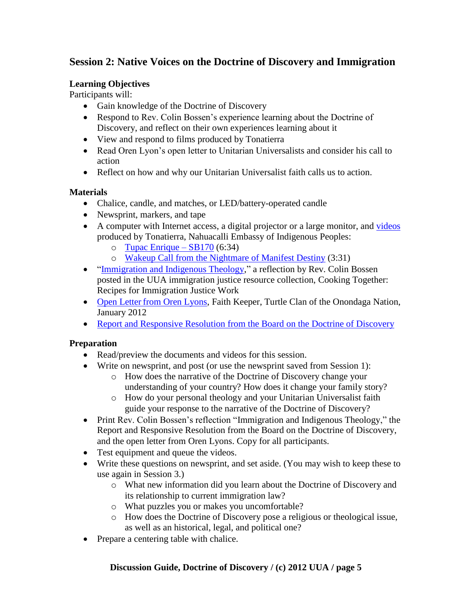## **Session 2: Native Voices on the Doctrine of Discovery and Immigration**

#### **Learning Objectives**

Participants will:

- Gain knowledge of the Doctrine of Discovery
- Respond to Rev. Colin Bossen's experience learning about the Doctrine of Discovery, and reflect on their own experiences learning about it
- View and respond to films produced by Tonatierra
- Read Oren Lyon's open letter to Unitarian Universalists and consider his call to action
- Reflect on how and why our Unitarian Universalist faith calls us to action.

#### **Materials**

- Chalice, candle, and matches, or LED/battery-operated candle
- Newsprint, markers, and tape
- A computer with Internet access, a digital projector or a large monitor, and [videos](http://tonatierra.org/videos/) produced by Tonatierra, Nahuacalli Embassy of Indigenous Peoples:
	- o [Tupac Enrique –](http://tonatierra.org/videos/)  $SB170(6:34)$
	- o [Wakeup Call from the Nightmare of Manifest Destiny](http://tonatierra.org/videos/) (3:31)
- "Immigration and Indigenous Theology," a reflection by Rev. Colin Bossen posted in the UUA immigration justice resource collection, Cooking Together: Recipes for Immigration Justice Work
- Open Letter [from Oren Lyons,](http://www.uua.org/documents/lyonsoren/1201_uua_ltr.pdf) Faith Keeper, Turtle Clan of the Onondaga Nation, January 2012
- [Report and Responsive Resolution from the Board on the Doctrine of Discovery](http://www.uua.org/documents/boardtrustees/rrmc/120109_motion.pdf)

#### **Preparation**

- Read/preview the documents and videos for this session.
- Write on newsprint, and post (or use the newsprint saved from Session 1):
	- o How does the narrative of the Doctrine of Discovery change your understanding of your country? How does it change your family story?
	- o How do your personal theology and your Unitarian Universalist faith guide your response to the narrative of the Doctrine of Discovery?
- Print Rev. Colin Bossen's reflection "Immigration and Indigenous Theology," the Report and Responsive Resolution from the Board on the Doctrine of Discovery, and the open letter from Oren Lyons. Copy for all participants.
- Test equipment and queue the videos.
- Write these questions on newsprint, and set aside. (You may wish to keep these to use again in Session 3.)
	- o What new information did you learn about the Doctrine of Discovery and its relationship to current immigration law?
	- o What puzzles you or makes you uncomfortable?
	- o How does the Doctrine of Discovery pose a religious or theological issue, as well as an historical, legal, and political one?
- Prepare a centering table with chalice.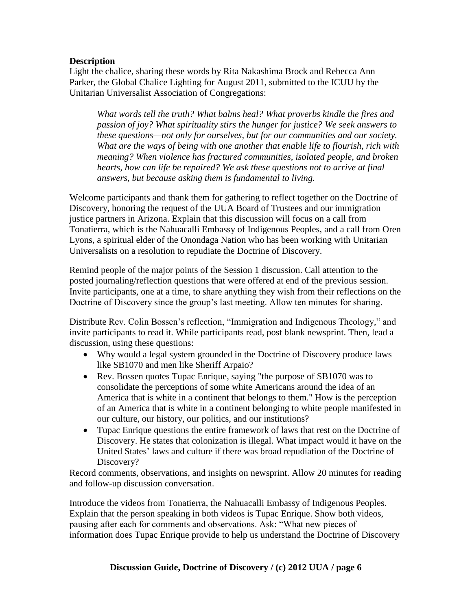#### **Description**

Light the chalice, sharing these words by Rita Nakashima Brock and Rebecca Ann Parker, the Global Chalice Lighting for August 2011, submitted to the ICUU by the Unitarian Universalist Association of Congregations:

*What words tell the truth? What balms heal? What proverbs kindle the fires and passion of joy? What spirituality stirs the hunger for justice? We seek answers to these questions—not only for ourselves, but for our communities and our society. What are the ways of being with one another that enable life to flourish, rich with meaning? When violence has fractured communities, isolated people, and broken hearts, how can life be repaired? We ask these questions not to arrive at final answers, but because asking them is fundamental to living.* 

Welcome participants and thank them for gathering to reflect together on the Doctrine of Discovery, honoring the request of the UUA Board of Trustees and our immigration justice partners in Arizona. Explain that this discussion will focus on a call from Tonatierra, which is the Nahuacalli Embassy of Indigenous Peoples, and a call from Oren Lyons, a spiritual elder of the Onondaga Nation who has been working with Unitarian Universalists on a resolution to repudiate the Doctrine of Discovery.

Remind people of the major points of the Session 1 discussion. Call attention to the posted journaling/reflection questions that were offered at end of the previous session. Invite participants, one at a time, to share anything they wish from their reflections on the Doctrine of Discovery since the group's last meeting. Allow ten minutes for sharing.

Distribute Rev. Colin Bossen's reflection, "Immigration and Indigenous Theology," and invite participants to read it. While participants read, post blank newsprint. Then, lead a discussion, using these questions:

- Why would a legal system grounded in the Doctrine of Discovery produce laws like SB1070 and men like Sheriff Arpaio?
- Rev. Bossen quotes Tupac Enrique, saying "the purpose of SB1070 was to consolidate the perceptions of some white Americans around the idea of an America that is white in a continent that belongs to them." How is the perception of an America that is white in a continent belonging to white people manifested in our culture, our history, our politics, and our institutions?
- Tupac Enrique questions the entire framework of laws that rest on the Doctrine of Discovery. He states that colonization is illegal. What impact would it have on the United States' laws and culture if there was broad repudiation of the Doctrine of Discovery?

Record comments, observations, and insights on newsprint. Allow 20 minutes for reading and follow-up discussion conversation.

Introduce the videos from Tonatierra, the Nahuacalli Embassy of Indigenous Peoples. Explain that the person speaking in both videos is Tupac Enrique. Show both videos, pausing after each for comments and observations. Ask: "What new pieces of information does Tupac Enrique provide to help us understand the Doctrine of Discovery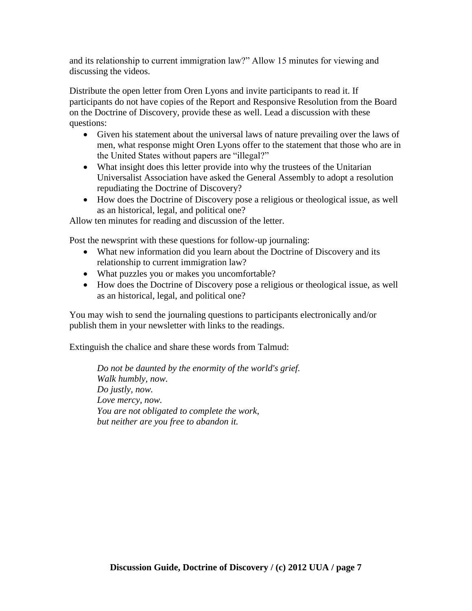and its relationship to current immigration law?" Allow 15 minutes for viewing and discussing the videos.

Distribute the open letter from Oren Lyons and invite participants to read it. If participants do not have copies of the Report and Responsive Resolution from the Board on the Doctrine of Discovery, provide these as well. Lead a discussion with these questions:

- Given his statement about the universal laws of nature prevailing over the laws of men, what response might Oren Lyons offer to the statement that those who are in the United States without papers are "illegal?"
- What insight does this letter provide into why the trustees of the Unitarian Universalist Association have asked the General Assembly to adopt a resolution repudiating the Doctrine of Discovery?
- How does the Doctrine of Discovery pose a religious or theological issue, as well as an historical, legal, and political one?

Allow ten minutes for reading and discussion of the letter.

Post the newsprint with these questions for follow-up journaling:

- What new information did you learn about the Doctrine of Discovery and its relationship to current immigration law?
- What puzzles you or makes you uncomfortable?
- How does the Doctrine of Discovery pose a religious or theological issue, as well as an historical, legal, and political one?

You may wish to send the journaling questions to participants electronically and/or publish them in your newsletter with links to the readings.

Extinguish the chalice and share these words from Talmud:

*Do not be daunted by the enormity of the world's grief. Walk humbly, now. Do justly, now. Love mercy, now. You are not obligated to complete the work, but neither are you free to abandon it.*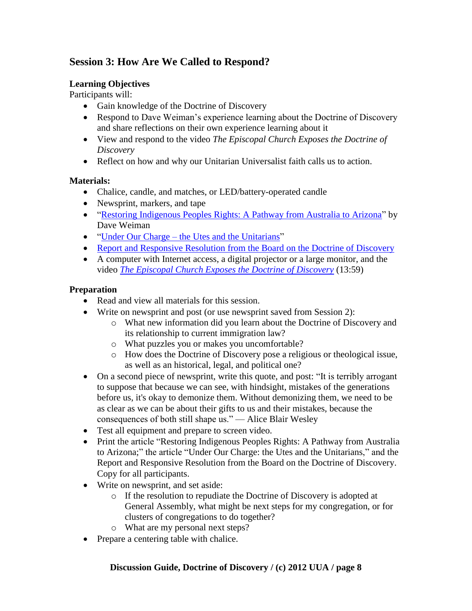## **Session 3: How Are We Called to Respond?**

#### **Learning Objectives**

Participants will:

- Gain knowledge of the Doctrine of Discovery
- Respond to Dave Weiman's experience learning about the Doctrine of Discovery and share reflections on their own experience learning about it
- View and respond to the video *The Episcopal Church Exposes the Doctrine of Discovery*
- Reflect on how and why our Unitarian Universalist faith calls us to action.

#### **Materials:**

- Chalice, candle, and matches, or LED/battery-operated candle
- Newsprint, markers, and tape
- "Restoring Indigenous Peoples Rights: A Pathway from Australia to Arizona" by Dave Weiman
- "Under Our Charge the Utes and the Unitarians"
- [Report and Responsive Resolution from the Board on the Doctrine of Discovery](http://www.uua.org/documents/boardtrustees/rrmc/120109_motion.pdf)
- A computer with Internet access, a digital projector or a large monitor, and the video *[The Episcopal Church Exposes the Doctrine of Discovery](http://www.youtube.com/watch?v=drLnI_k5b6s)* (13:59)

#### **Preparation**

- Read and view all materials for this session.
- Write on newsprint and post (or use newsprint saved from Session 2):
	- o What new information did you learn about the Doctrine of Discovery and its relationship to current immigration law?
	- o What puzzles you or makes you uncomfortable?
	- o How does the Doctrine of Discovery pose a religious or theological issue, as well as an historical, legal, and political one?
- On a second piece of newsprint, write this quote, and post: "It is terribly arrogant to suppose that because we can see, with hindsight, mistakes of the generations before us, it's okay to demonize them. Without demonizing them, we need to be as clear as we can be about their gifts to us and their mistakes, because the consequences of both still shape us." — Alice Blair Wesley
- Test all equipment and prepare to screen video.
- Print the article "Restoring Indigenous Peoples Rights: A Pathway from Australia to Arizona;" the article "Under Our Charge: the Utes and the Unitarians," and the Report and Responsive Resolution from the Board on the Doctrine of Discovery. Copy for all participants.
- Write on newsprint, and set aside:
	- o If the resolution to repudiate the Doctrine of Discovery is adopted at General Assembly, what might be next steps for my congregation, or for clusters of congregations to do together?
	- o What are my personal next steps?
- Prepare a centering table with chalice.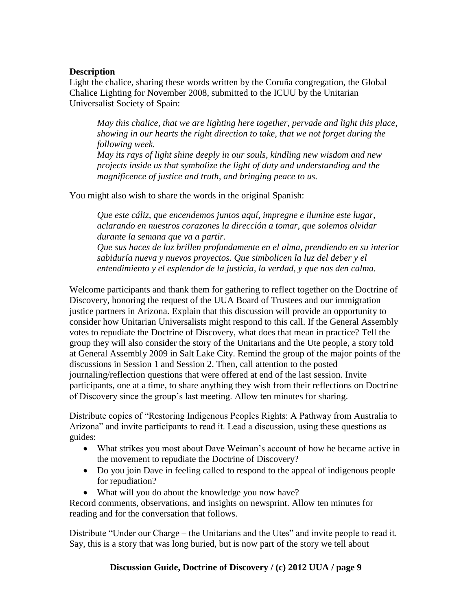#### **Description**

Light the chalice, sharing these words written by the Coruña congregation, the Global Chalice Lighting for November 2008, submitted to the ICUU by the Unitarian Universalist Society of Spain:

*May this chalice, that we are lighting here together, pervade and light this place, showing in our hearts the right direction to take, that we not forget during the following week.*

*May its rays of light shine deeply in our souls, kindling new wisdom and new projects inside us that symbolize the light of duty and understanding and the magnificence of justice and truth, and bringing peace to us.*

You might also wish to share the words in the original Spanish:

*Que este cáliz, que encendemos juntos aquí, impregne e ilumine este lugar, aclarando en nuestros corazones la dirección a tomar, que solemos olvidar durante la semana que va a partir. Que sus haces de luz brillen profundamente en el alma, prendiendo en su interior sabiduría nueva y nuevos proyectos. Que simbolicen la luz del deber y el entendimiento y el esplendor de la justicia, la verdad, y que nos den calma.* 

Welcome participants and thank them for gathering to reflect together on the Doctrine of Discovery, honoring the request of the UUA Board of Trustees and our immigration justice partners in Arizona. Explain that this discussion will provide an opportunity to consider how Unitarian Universalists might respond to this call. If the General Assembly votes to repudiate the Doctrine of Discovery, what does that mean in practice? Tell the group they will also consider the story of the Unitarians and the Ute people, a story told at General Assembly 2009 in Salt Lake City. Remind the group of the major points of the discussions in Session 1 and Session 2. Then, call attention to the posted journaling/reflection questions that were offered at end of the last session. Invite participants, one at a time, to share anything they wish from their reflections on Doctrine of Discovery since the group's last meeting. Allow ten minutes for sharing.

Distribute copies of "Restoring Indigenous Peoples Rights: A Pathway from Australia to Arizona" and invite participants to read it. Lead a discussion, using these questions as guides:

- What strikes you most about Dave Weiman's account of how he became active in the movement to repudiate the Doctrine of Discovery?
- Do you join Dave in feeling called to respond to the appeal of indigenous people for repudiation?
- What will you do about the knowledge you now have?

Record comments, observations, and insights on newsprint. Allow ten minutes for reading and for the conversation that follows.

Distribute "Under our Charge – the Unitarians and the Utes" and invite people to read it. Say, this is a story that was long buried, but is now part of the story we tell about

#### **Discussion Guide, Doctrine of Discovery / (c) 2012 UUA / page 9**